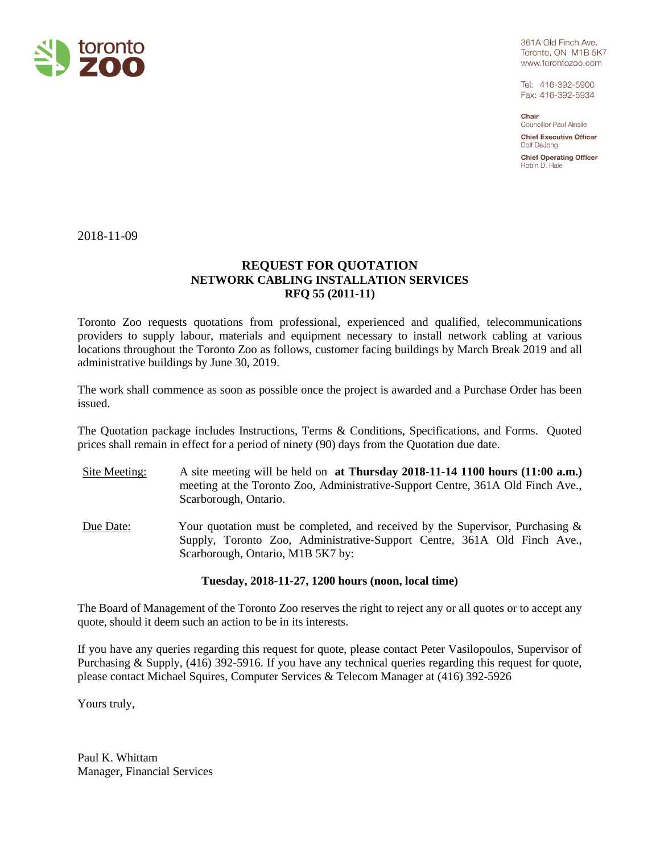

361A Old Finch Ave. Toronto, ON M1B 5K7 www.torontozoo.com

Tel: 416-392-5900 Fax: 416-392-5934

Chair **Councillor Paul Ainslie** 

**Chief Executive Officer** Dolf DeJong

**Chief Operating Officer** Robin D. Hale

2018-11-09

# **REQUEST FOR QUOTATION NETWORK CABLING INSTALLATION SERVICES RFQ 55 (2011-11)**

Toronto Zoo requests quotations from professional, experienced and qualified, telecommunications providers to supply labour, materials and equipment necessary to install network cabling at various locations throughout the Toronto Zoo as follows, customer facing buildings by March Break 2019 and all administrative buildings by June 30, 2019.

The work shall commence as soon as possible once the project is awarded and a Purchase Order has been issued.

The Quotation package includes Instructions, Terms & Conditions, Specifications, and Forms. Quoted prices shall remain in effect for a period of ninety (90) days from the Quotation due date.

- Site Meeting: A site meeting will be held on **at Thursday 2018-11-14 1100 hours (11:00 a.m.)** meeting at the Toronto Zoo, Administrative-Support Centre, 361A Old Finch Ave., Scarborough, Ontario.
- Due Date: Your quotation must be completed, and received by the Supervisor, Purchasing & Supply, Toronto Zoo, Administrative-Support Centre, 361A Old Finch Ave., Scarborough, Ontario, M1B 5K7 by:

## **Tuesday, 2018-11-27, 1200 hours (noon, local time)**

The Board of Management of the Toronto Zoo reserves the right to reject any or all quotes or to accept any quote, should it deem such an action to be in its interests.

If you have any queries regarding this request for quote, please contact Peter Vasilopoulos, Supervisor of Purchasing & Supply, (416) 392-5916. If you have any technical queries regarding this request for quote, please contact Michael Squires, Computer Services & Telecom Manager at (416) 392-5926

Yours truly,

Paul K. Whittam Manager, Financial Services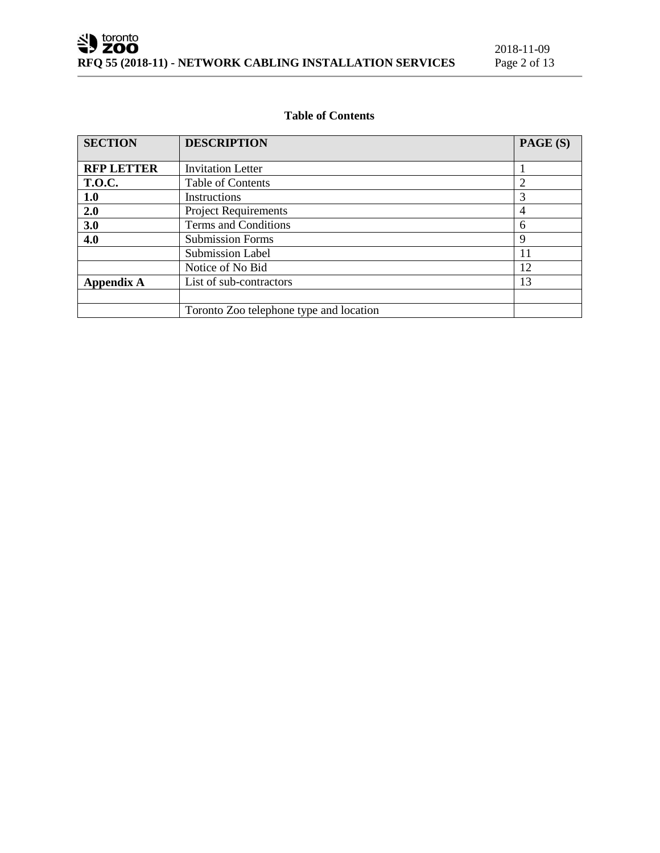# **Table of Contents**

| <b>SECTION</b>                               | <b>DESCRIPTION</b>                      | PAGE (S) |
|----------------------------------------------|-----------------------------------------|----------|
|                                              |                                         |          |
| <b>RFP LETTER</b>                            | <b>Invitation Letter</b>                |          |
| <b>T.O.C.</b>                                | Table of Contents                       |          |
| 1.0                                          | Instructions                            | 3        |
| 2.0                                          | <b>Project Requirements</b>             | 4        |
| 3.0                                          | Terms and Conditions                    | 6        |
| 4.0                                          | <b>Submission Forms</b>                 | 9        |
|                                              | <b>Submission Label</b>                 | 11       |
|                                              | Notice of No Bid                        | 12       |
| <b>Appendix A</b><br>List of sub-contractors |                                         | 13       |
|                                              |                                         |          |
|                                              | Toronto Zoo telephone type and location |          |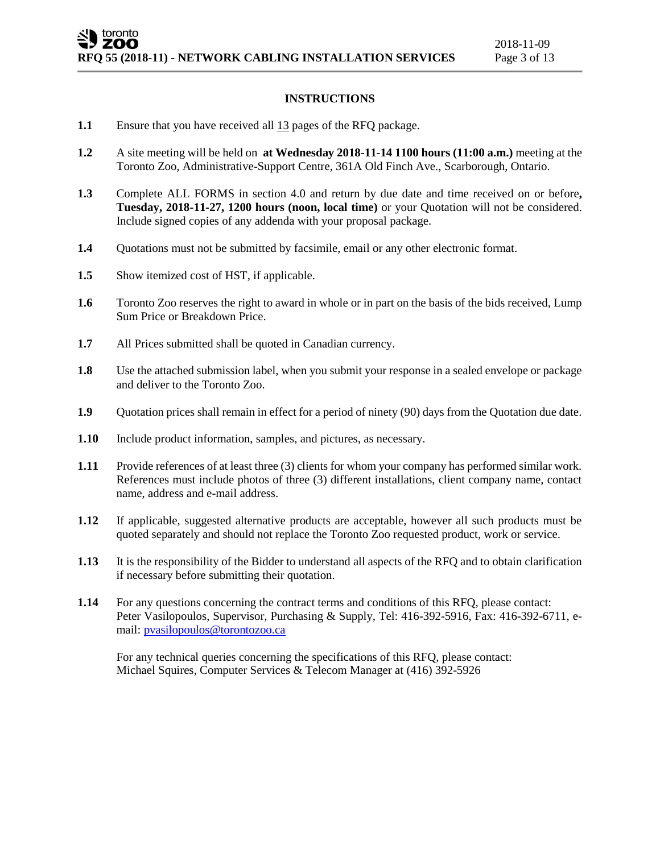## **INSTRUCTIONS**

- **1.1** Ensure that you have received all  $\frac{13}{13}$  pages of the RFQ package.
- **1.2** A site meeting will be held on **at Wednesday 2018-11-14 1100 hours (11:00 a.m.)** meeting at the Toronto Zoo, Administrative-Support Centre, 361A Old Finch Ave., Scarborough, Ontario.
- **1.3** Complete ALL FORMS in section 4.0 and return by due date and time received on or before**, Tuesday, 2018-11-27, 1200 hours (noon, local time)** or your Quotation will not be considered. Include signed copies of any addenda with your proposal package.
- **1.4** Quotations must not be submitted by facsimile, email or any other electronic format.
- **1.5** Show itemized cost of HST, if applicable.
- **1.6** Toronto Zoo reserves the right to award in whole or in part on the basis of the bids received, Lump Sum Price or Breakdown Price.
- **1.7** All Prices submitted shall be quoted in Canadian currency.
- **1.8** Use the attached submission label, when you submit your response in a sealed envelope or package and deliver to the Toronto Zoo.
- **1.9** Quotation prices shall remain in effect for a period of ninety (90) days from the Quotation due date.
- **1.10** Include product information, samples, and pictures, as necessary.
- **1.11** Provide references of at least three (3) clients for whom your company has performed similar work. References must include photos of three (3) different installations, client company name, contact name, address and e-mail address.
- **1.12** If applicable, suggested alternative products are acceptable, however all such products must be quoted separately and should not replace the Toronto Zoo requested product, work or service.
- **1.13** It is the responsibility of the Bidder to understand all aspects of the RFQ and to obtain clarification if necessary before submitting their quotation.
- **1.14** For any questions concerning the contract terms and conditions of this RFQ, please contact: Peter Vasilopoulos, Supervisor, Purchasing & Supply, Tel: 416-392-5916, Fax: 416-392-6711, email: [pvasilopoulos@torontozoo.ca](mailto:pvasilopoulos@torontozoo.ca)

For any technical queries concerning the specifications of this RFQ, please contact: Michael Squires, Computer Services & Telecom Manager at (416) 392-5926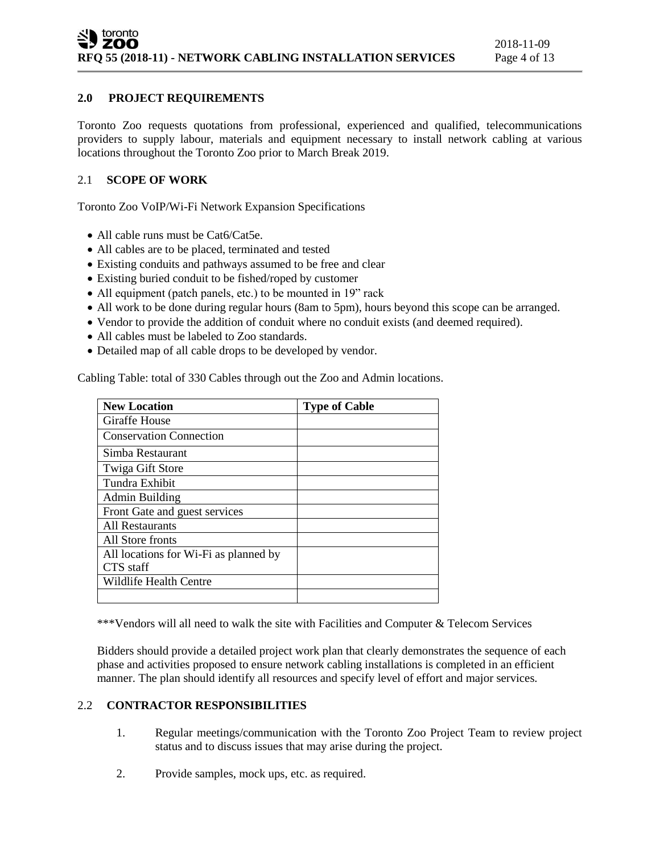# **2.0 PROJECT REQUIREMENTS**

Toronto Zoo requests quotations from professional, experienced and qualified, telecommunications providers to supply labour, materials and equipment necessary to install network cabling at various locations throughout the Toronto Zoo prior to March Break 2019.

# 2.1 **SCOPE OF WORK**

Toronto Zoo VoIP/Wi-Fi Network Expansion Specifications

- All cable runs must be Cat6/Cat5e.
- All cables are to be placed, terminated and tested
- Existing conduits and pathways assumed to be free and clear
- Existing buried conduit to be fished/roped by customer
- All equipment (patch panels, etc.) to be mounted in 19" rack
- All work to be done during regular hours (8am to 5pm), hours beyond this scope can be arranged.
- Vendor to provide the addition of conduit where no conduit exists (and deemed required).
- All cables must be labeled to Zoo standards.
- Detailed map of all cable drops to be developed by vendor.

Cabling Table: total of 330 Cables through out the Zoo and Admin locations.

| <b>New Location</b>                   | <b>Type of Cable</b> |
|---------------------------------------|----------------------|
| Giraffe House                         |                      |
| <b>Conservation Connection</b>        |                      |
| Simba Restaurant                      |                      |
| Twiga Gift Store                      |                      |
| Tundra Exhibit                        |                      |
| Admin Building                        |                      |
| Front Gate and guest services         |                      |
| All Restaurants                       |                      |
| All Store fronts                      |                      |
| All locations for Wi-Fi as planned by |                      |
| CTS staff                             |                      |
| Wildlife Health Centre                |                      |
|                                       |                      |

\*\*\*Vendors will all need to walk the site with Facilities and Computer & Telecom Services

Bidders should provide a detailed project work plan that clearly demonstrates the sequence of each phase and activities proposed to ensure network cabling installations is completed in an efficient manner. The plan should identify all resources and specify level of effort and major services.

#### 2.2 **CONTRACTOR RESPONSIBILITIES**

- 1. Regular meetings/communication with the Toronto Zoo Project Team to review project status and to discuss issues that may arise during the project.
- 2. Provide samples, mock ups, etc. as required.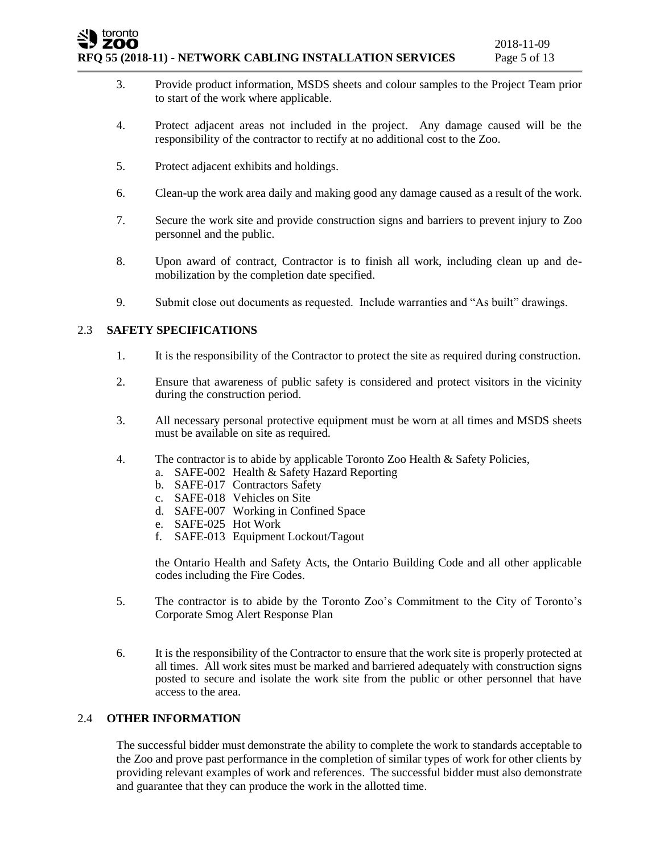#### toronto ZOO **RFQ 55 (2018-11) - NETWORK CABLING INSTALLATION SERVICES** Page 5 of 13

- 3. Provide product information, MSDS sheets and colour samples to the Project Team prior to start of the work where applicable.
- 4. Protect adjacent areas not included in the project. Any damage caused will be the responsibility of the contractor to rectify at no additional cost to the Zoo.
- 5. Protect adjacent exhibits and holdings.
- 6. Clean-up the work area daily and making good any damage caused as a result of the work.
- 7. Secure the work site and provide construction signs and barriers to prevent injury to Zoo personnel and the public.
- 8. Upon award of contract, Contractor is to finish all work, including clean up and demobilization by the completion date specified.
- 9. Submit close out documents as requested. Include warranties and "As built" drawings.

# 2.3 **SAFETY SPECIFICATIONS**

- 1. It is the responsibility of the Contractor to protect the site as required during construction.
- 2. Ensure that awareness of public safety is considered and protect visitors in the vicinity during the construction period.
- 3. All necessary personal protective equipment must be worn at all times and MSDS sheets must be available on site as required.
- 4. The contractor is to abide by applicable Toronto Zoo Health & Safety Policies,
	- a. SAFE-002 Health & Safety Hazard Reporting
	- b. SAFE-017 Contractors Safety
	- c. SAFE-018 Vehicles on Site
	- d. SAFE-007 Working in Confined Space
	- e. SAFE-025 Hot Work
	- f. SAFE-013 Equipment Lockout/Tagout

the Ontario Health and Safety Acts, the Ontario Building Code and all other applicable codes including the Fire Codes.

- 5. The contractor is to abide by the Toronto Zoo's Commitment to the City of Toronto's Corporate Smog Alert Response Plan
- 6. It is the responsibility of the Contractor to ensure that the work site is properly protected at all times. All work sites must be marked and barriered adequately with construction signs posted to secure and isolate the work site from the public or other personnel that have access to the area.

## 2.4 **OTHER INFORMATION**

The successful bidder must demonstrate the ability to complete the work to standards acceptable to the Zoo and prove past performance in the completion of similar types of work for other clients by providing relevant examples of work and references. The successful bidder must also demonstrate and guarantee that they can produce the work in the allotted time.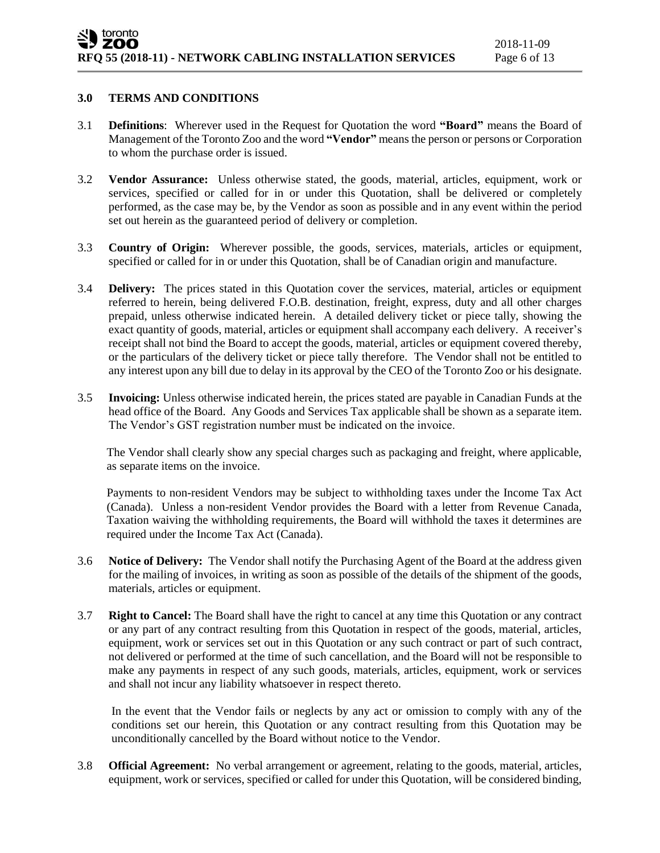#### **3.0 TERMS AND CONDITIONS**

- 3.1 **Definitions**: Wherever used in the Request for Quotation the word **"Board"** means the Board of Management of the Toronto Zoo and the word **"Vendor"** means the person or persons or Corporation to whom the purchase order is issued.
- 3.2 **Vendor Assurance:** Unless otherwise stated, the goods, material, articles, equipment, work or services, specified or called for in or under this Quotation, shall be delivered or completely performed, as the case may be, by the Vendor as soon as possible and in any event within the period set out herein as the guaranteed period of delivery or completion.
- 3.3 **Country of Origin:** Wherever possible, the goods, services, materials, articles or equipment, specified or called for in or under this Quotation, shall be of Canadian origin and manufacture.
- 3.4 **Delivery:** The prices stated in this Quotation cover the services, material, articles or equipment referred to herein, being delivered F.O.B. destination, freight, express, duty and all other charges prepaid, unless otherwise indicated herein. A detailed delivery ticket or piece tally, showing the exact quantity of goods, material, articles or equipment shall accompany each delivery. A receiver's receipt shall not bind the Board to accept the goods, material, articles or equipment covered thereby, or the particulars of the delivery ticket or piece tally therefore. The Vendor shall not be entitled to any interest upon any bill due to delay in its approval by the CEO of the Toronto Zoo or his designate.
- 3.5 **Invoicing:** Unless otherwise indicated herein, the prices stated are payable in Canadian Funds at the head office of the Board. Any Goods and Services Tax applicable shall be shown as a separate item. The Vendor's GST registration number must be indicated on the invoice.

The Vendor shall clearly show any special charges such as packaging and freight, where applicable, as separate items on the invoice.

Payments to non-resident Vendors may be subject to withholding taxes under the Income Tax Act (Canada). Unless a non-resident Vendor provides the Board with a letter from Revenue Canada, Taxation waiving the withholding requirements, the Board will withhold the taxes it determines are required under the Income Tax Act (Canada).

- 3.6 **Notice of Delivery:** The Vendor shall notify the Purchasing Agent of the Board at the address given for the mailing of invoices, in writing as soon as possible of the details of the shipment of the goods, materials, articles or equipment.
- 3.7 **Right to Cancel:** The Board shall have the right to cancel at any time this Quotation or any contract or any part of any contract resulting from this Quotation in respect of the goods, material, articles, equipment, work or services set out in this Quotation or any such contract or part of such contract, not delivered or performed at the time of such cancellation, and the Board will not be responsible to make any payments in respect of any such goods, materials, articles, equipment, work or services and shall not incur any liability whatsoever in respect thereto.

In the event that the Vendor fails or neglects by any act or omission to comply with any of the conditions set our herein, this Quotation or any contract resulting from this Quotation may be unconditionally cancelled by the Board without notice to the Vendor.

3.8 **Official Agreement:** No verbal arrangement or agreement, relating to the goods, material, articles, equipment, work or services, specified or called for under this Quotation, will be considered binding,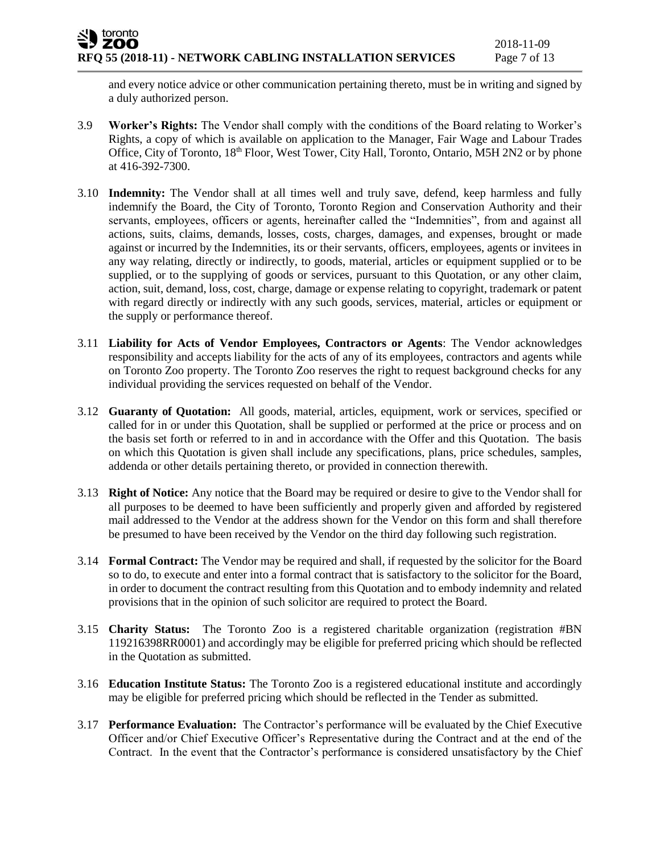and every notice advice or other communication pertaining thereto, must be in writing and signed by a duly authorized person.

- 3.9 **Worker's Rights:** The Vendor shall comply with the conditions of the Board relating to Worker's Rights, a copy of which is available on application to the Manager, Fair Wage and Labour Trades Office, City of Toronto, 18<sup>th</sup> Floor, West Tower, City Hall, Toronto, Ontario, M5H 2N2 or by phone at 416-392-7300.
- 3.10 **Indemnity:** The Vendor shall at all times well and truly save, defend, keep harmless and fully indemnify the Board, the City of Toronto, Toronto Region and Conservation Authority and their servants, employees, officers or agents, hereinafter called the "Indemnities", from and against all actions, suits, claims, demands, losses, costs, charges, damages, and expenses, brought or made against or incurred by the Indemnities, its or their servants, officers, employees, agents or invitees in any way relating, directly or indirectly, to goods, material, articles or equipment supplied or to be supplied, or to the supplying of goods or services, pursuant to this Quotation, or any other claim, action, suit, demand, loss, cost, charge, damage or expense relating to copyright, trademark or patent with regard directly or indirectly with any such goods, services, material, articles or equipment or the supply or performance thereof.
- 3.11 **Liability for Acts of Vendor Employees, Contractors or Agents**: The Vendor acknowledges responsibility and accepts liability for the acts of any of its employees, contractors and agents while on Toronto Zoo property. The Toronto Zoo reserves the right to request background checks for any individual providing the services requested on behalf of the Vendor.
- 3.12 **Guaranty of Quotation:** All goods, material, articles, equipment, work or services, specified or called for in or under this Quotation, shall be supplied or performed at the price or process and on the basis set forth or referred to in and in accordance with the Offer and this Quotation. The basis on which this Quotation is given shall include any specifications, plans, price schedules, samples, addenda or other details pertaining thereto, or provided in connection therewith.
- 3.13 **Right of Notice:** Any notice that the Board may be required or desire to give to the Vendor shall for all purposes to be deemed to have been sufficiently and properly given and afforded by registered mail addressed to the Vendor at the address shown for the Vendor on this form and shall therefore be presumed to have been received by the Vendor on the third day following such registration.
- 3.14 **Formal Contract:** The Vendor may be required and shall, if requested by the solicitor for the Board so to do, to execute and enter into a formal contract that is satisfactory to the solicitor for the Board, in order to document the contract resulting from this Quotation and to embody indemnity and related provisions that in the opinion of such solicitor are required to protect the Board.
- 3.15 **Charity Status:** The Toronto Zoo is a registered charitable organization (registration #BN 119216398RR0001) and accordingly may be eligible for preferred pricing which should be reflected in the Quotation as submitted.
- 3.16 **Education Institute Status:** The Toronto Zoo is a registered educational institute and accordingly may be eligible for preferred pricing which should be reflected in the Tender as submitted.
- 3.17 **Performance Evaluation:** The Contractor's performance will be evaluated by the Chief Executive Officer and/or Chief Executive Officer's Representative during the Contract and at the end of the Contract. In the event that the Contractor's performance is considered unsatisfactory by the Chief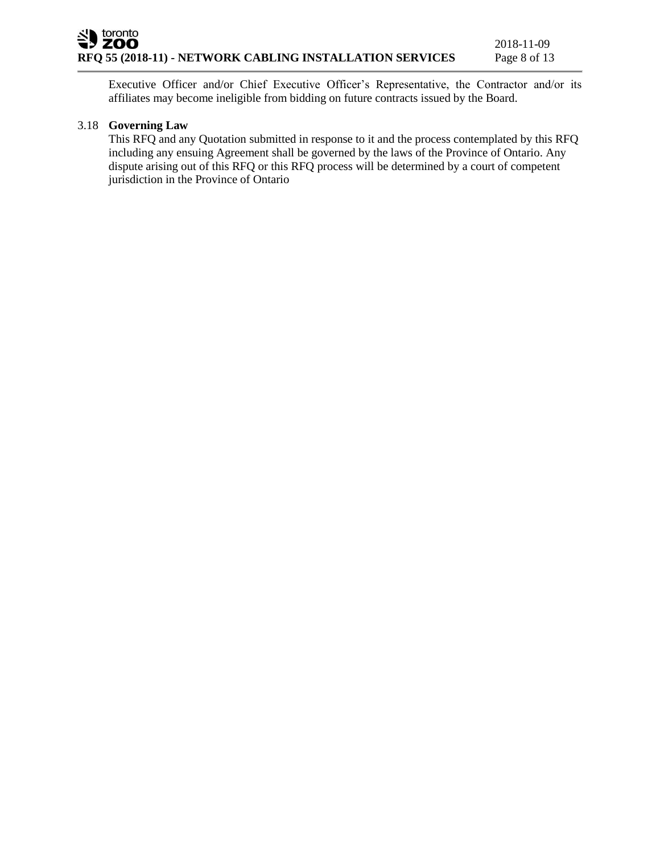Executive Officer and/or Chief Executive Officer's Representative, the Contractor and/or its affiliates may become ineligible from bidding on future contracts issued by the Board.

# 3.18 **Governing Law**

This RFQ and any Quotation submitted in response to it and the process contemplated by this RFQ including any ensuing Agreement shall be governed by the laws of the Province of Ontario. Any dispute arising out of this RFQ or this RFQ process will be determined by a court of competent jurisdiction in the Province of Ontario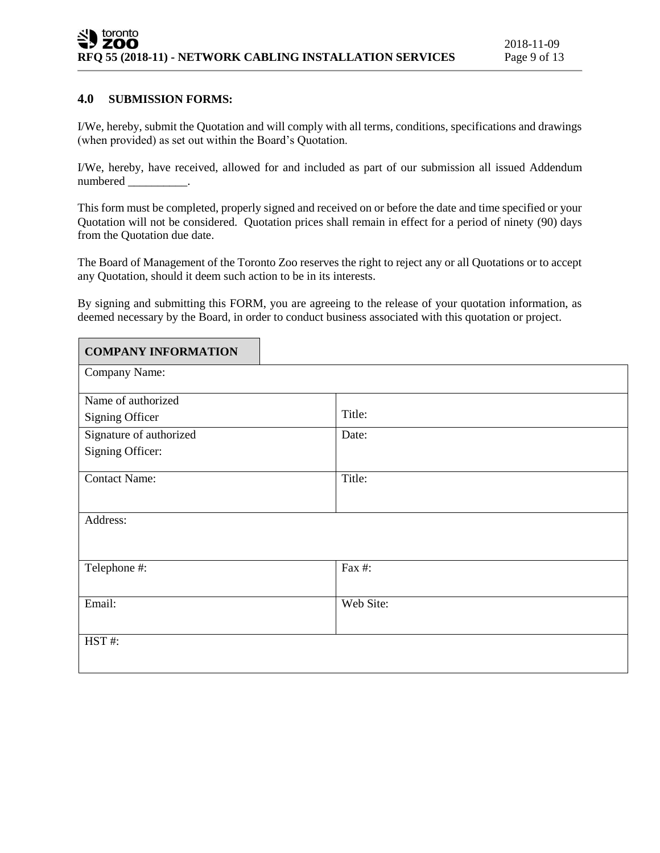$\overline{\phantom{0}}$ 

#### **4.0 SUBMISSION FORMS:**

 $\blacksquare$ 

I/We, hereby, submit the Quotation and will comply with all terms, conditions, specifications and drawings (when provided) as set out within the Board's Quotation.

I/We, hereby, have received, allowed for and included as part of our submission all issued Addendum numbered .

This form must be completed, properly signed and received on or before the date and time specified or your Quotation will not be considered. Quotation prices shall remain in effect for a period of ninety (90) days from the Quotation due date.

The Board of Management of the Toronto Zoo reserves the right to reject any or all Quotations or to accept any Quotation, should it deem such action to be in its interests.

By signing and submitting this FORM, you are agreeing to the release of your quotation information, as deemed necessary by the Board, in order to conduct business associated with this quotation or project.

| <b>COMPANY INFORMATION</b> |           |  |
|----------------------------|-----------|--|
| Company Name:              |           |  |
| Name of authorized         |           |  |
| Signing Officer            | Title:    |  |
| Signature of authorized    | Date:     |  |
| Signing Officer:           |           |  |
| <b>Contact Name:</b>       | Title:    |  |
| Address:                   |           |  |
| Telephone #:               | Fax #:    |  |
| Email:                     | Web Site: |  |
| HST#:                      |           |  |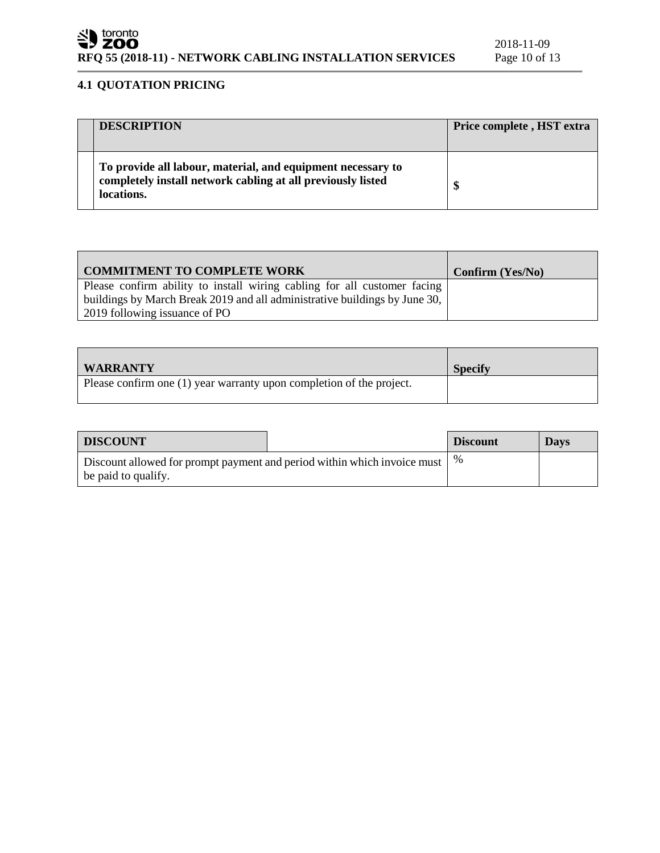# **4.1 QUOTATION PRICING**

| <b>DESCRIPTION</b>                                                                                                                       | Price complete, HST extra |
|------------------------------------------------------------------------------------------------------------------------------------------|---------------------------|
| To provide all labour, material, and equipment necessary to<br>completely install network cabling at all previously listed<br>locations. | \$                        |

| COMMITMENT TO COMPLETE WORK                                                                                                                            | Confirm (Yes/No) |
|--------------------------------------------------------------------------------------------------------------------------------------------------------|------------------|
| Please confirm ability to install wiring cabling for all customer facing<br>buildings by March Break 2019 and all administrative buildings by June 30, |                  |
| 2019 following issuance of PO                                                                                                                          |                  |

| <b>WARRANTY</b>                                                      | <b>Specify</b> |
|----------------------------------------------------------------------|----------------|
| Please confirm one (1) year warranty upon completion of the project. |                |

| <b>DISCOUNT</b>                                                                                 |  | <b>Discount</b> | <b>Days</b> |
|-------------------------------------------------------------------------------------------------|--|-----------------|-------------|
| Discount allowed for prompt payment and period within which invoice must<br>be paid to qualify. |  |                 |             |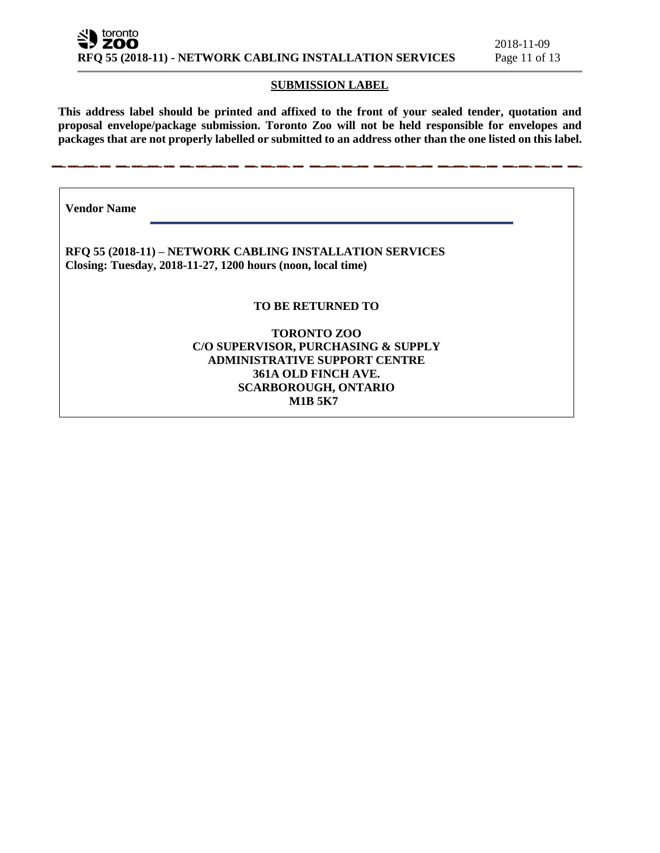#### **SUBMISSION LABEL**

**This address label should be printed and affixed to the front of your sealed tender, quotation and proposal envelope/package submission. Toronto Zoo will not be held responsible for envelopes and packages that are not properly labelled or submitted to an address other than the one listed on this label.**

**Vendor Name** 

**RFQ 55 (2018-11) – NETWORK CABLING INSTALLATION SERVICES Closing: Tuesday, 2018-11-27, 1200 hours (noon, local time)**

#### **TO BE RETURNED TO**

# **TORONTO ZOO C/O SUPERVISOR, PURCHASING & SUPPLY ADMINISTRATIVE SUPPORT CENTRE 361A OLD FINCH AVE. SCARBOROUGH, ONTARIO M1B 5K7**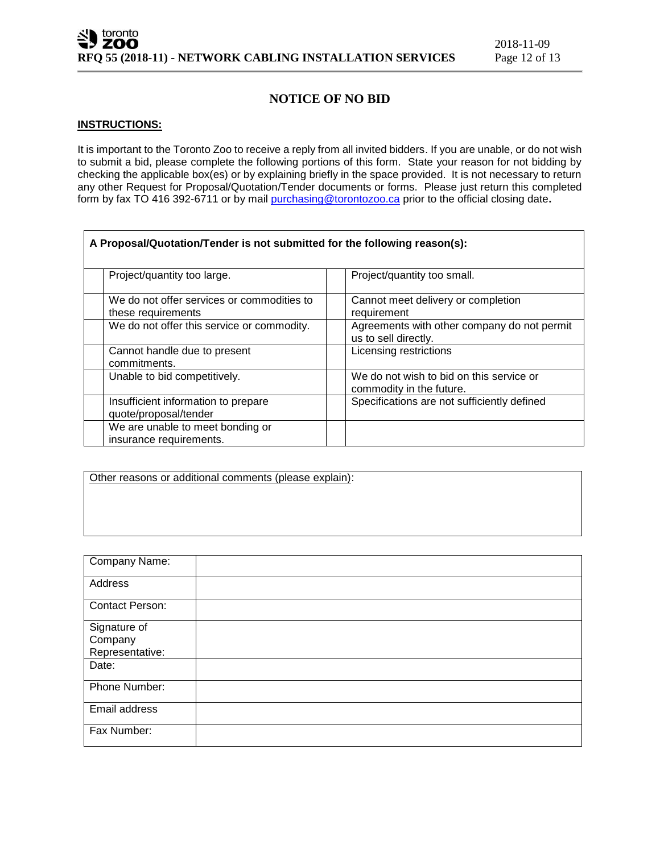# **NOTICE OF NO BID**

#### **INSTRUCTIONS:**

It is important to the Toronto Zoo to receive a reply from all invited bidders. If you are unable, or do not wish to submit a bid, please complete the following portions of this form. State your reason for not bidding by checking the applicable box(es) or by explaining briefly in the space provided. It is not necessary to return any other Request for Proposal/Quotation/Tender documents or forms. Please just return this completed form by fax TO 416 392-6711 or by mail [purchasing@torontozoo.ca](mailto:purchasing@torontozoo.ca) prior to the official closing date**.**

| A Proposal/Quotation/Tender is not submitted for the following reason(s): |                                                                      |  |  |
|---------------------------------------------------------------------------|----------------------------------------------------------------------|--|--|
| Project/quantity too large.                                               | Project/quantity too small.                                          |  |  |
| We do not offer services or commodities to<br>these requirements          | Cannot meet delivery or completion<br>requirement                    |  |  |
| We do not offer this service or commodity.                                | Agreements with other company do not permit<br>us to sell directly.  |  |  |
| Cannot handle due to present<br>commitments.                              | Licensing restrictions                                               |  |  |
| Unable to bid competitively.                                              | We do not wish to bid on this service or<br>commodity in the future. |  |  |
| Insufficient information to prepare<br>quote/proposal/tender              | Specifications are not sufficiently defined                          |  |  |
| We are unable to meet bonding or<br>insurance requirements.               |                                                                      |  |  |

Other reasons or additional comments (please explain):

| Company Name:                              |  |
|--------------------------------------------|--|
| Address                                    |  |
| <b>Contact Person:</b>                     |  |
| Signature of<br>Company<br>Representative: |  |
| Date:                                      |  |
| Phone Number:                              |  |
| Email address                              |  |
| Fax Number:                                |  |